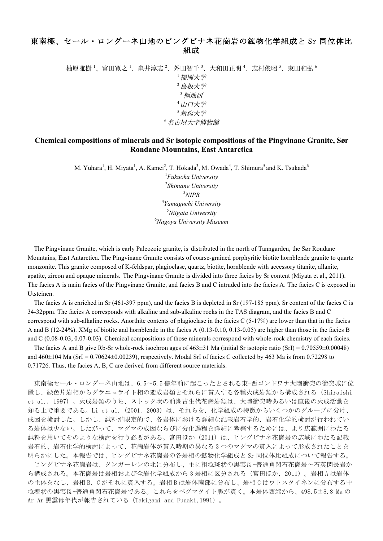## 東南極、セール・ロンダーネ山地のピングビナネ花崗岩の鉱物化学組成と Sr 同位体比 組成

柚原雅樹 <sup>1</sup>、宮田寛之 <sup>1</sup>、亀井淳志 <sup>2</sup>、外田智千 <sup>3</sup>、大和田正明 <sup>4</sup>、志村俊昭 <sup>5</sup>、束田和弘 <sup>6</sup> <sup>1</sup>福岡大学 <sup>2</sup>島根大学 <sup>3</sup>極地研 <sup>4</sup>山口大学 <sup>5</sup>新潟大学 <sup>6</sup>名古屋大学博物館

## **Chemical compositions of minerals and Sr isotopic compositions of the Pingvinane Granite, Sør Rondane Mountains, East Antarctica**

M. Yuhara<sup>1</sup>, H. Miyata<sup>1</sup>, A. Kamei<sup>2</sup>, T. Hokada<sup>3</sup>, M. Owada<sup>4</sup>, T. Shimura<sup>5</sup> and K. Tsukada<sup>6</sup>

 *Fukuoka University Shimane University* 3 *NIPR Yamaguchi University Niigata University Nagoya University Museum*

The Pingvinane Granite, which is early Paleozoic granite, is distributed in the north of Tanngarden, the Sør Rondane Mountains, East Antarctica. The Pingvinane Granite consists of coarse-grained porphyritic biotite hornblende granite to quartz monzonite. This granite composed of K-feldspar, plagioclase, quartz, biotite, hornblende with accessory titanite, allanite, apatite, zircon and opaque minerals. The Pingvinane Granite is divided into three facies by Sr content (Miyata et al., 2011). The facies A is main facies of the Pingvinane Granite, and facies B and C intruded into the facies A. The facies C is exposed in Utsteinen.

The facies A is enriched in Sr (461-397 ppm), and the facies B is depleted in Sr (197-185 ppm). Sr content of the facies C is 34-32ppm. The facies A corresponds with alkaline and sub-alkaline rocks in the TAS diagram, and the facies B and C correspond with sub-alkaline rocks. Anorthite contents of plagioclase in the facies  $C(5-17%)$  are lower than that in the facies A and B (12-24%). XMg of biotite and hornblende in the facies A (0.13-0.10, 0.13-0.05) are higher than those in the facies B and C (0.08-0.03, 0.07-0.03). Chemical compositions of those minerals correspond with whole-rock chemistry of each facies.

The facies A and B give Rb-Sr whole-rock isochron ages of  $463\pm31$  Ma (initial Sr isotopic ratio (SrI) = 0.70559 $\pm$ 0.00048) and  $460\pm104$  Ma (SrI = 0.70624 $\pm$ 0.00239), respectively. Modal SrI of facies C collected by 463 Ma is from 0.72298 to 0.71726. Thus, the facies A, B, C are derived from different source materials.

東南極セール・ロンダーネ山地は、6.5~5.5 億年前に起こったとされる東-西ゴンドワナ大陸衝突の衝突域に位 置し、緑色片岩相からグラニュライト相の変成岩類とそれらに貫入する各種火成岩類から構成される(Shiraishi et al., 1997)。火成岩類のうち、ストック状の前期古生代花崗岩類は、大陸衝突時あるいは直後の火成活動を 知る上で重要である。Li et al. (2001, 2003) は、それらを, 化学組成の特徴からいくつかのグループに分け、 成因を検討した。しかし、試料が限定的で、各岩体における詳細な記載岩石学的、岩石化学的検討が行われてい る岩体は少ない。したがって、マグマの成因ならびに分化過程を詳細に考察するためには、より広範囲にわたる 試料を用いてそのような検討を行う必要がある。宮田ほか(2011)は、ピングビナネ花崗岩の広域にわたる記載 岩石的、岩石化学的検討によって、花崗岩体が貫入時期の異なる 3 つのマグマの貫入によって形成されたことを 明らかにした。本報告では、ピングビナネ花崗岩の各岩相の鉱物化学組成と Sr 同位体比組成について報告する。

ピングビナネ花崗岩は、タンガーレンの北に分布し、主に粗粒斑状の黒雲母-普通角閃石花崗岩~石英閃長岩か ら構成される。本花崗岩は岩相および全岩化学組成から 3 岩相に区分される(宮田ほか,2011)。岩相 A は岩体 の主体をなし、岩相 B、C がそれに貫入する。岩相 B は岩体南部に分布し、岩相 C はウトスタイネンに分布する中 粒塊状の黒雲母-普通角閃石花崗岩である。これらをペグマタイト脈が貫く。本岩体西端から、498.5±8.8 Ma の Ar-Ar 黒雲母年代が報告されている(Takigami and Funaki,1991)。